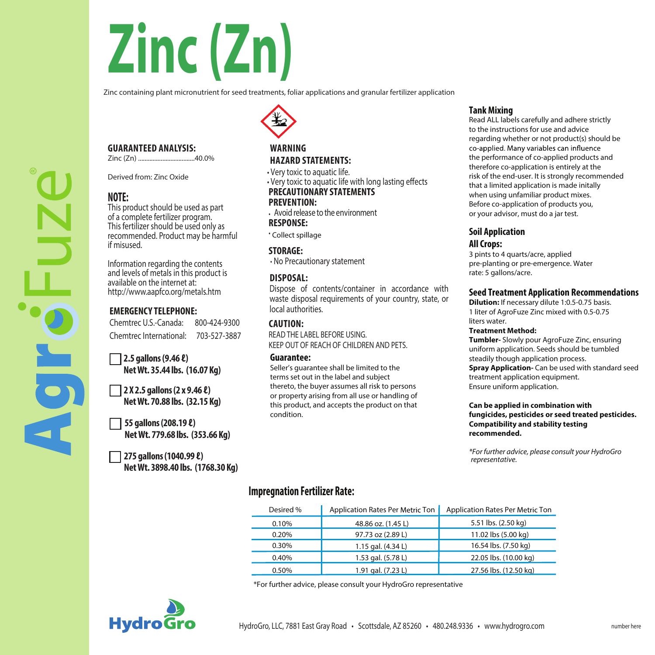# **Zinc (Zn)**

Zinc containing plant micronutrient for seed treatments, foliar applications and granular fertilizer application

### **GUARANTEED ANALYSIS:**

Zinc (Zn) ...................................40.0%

Derived from: Zinc Oxide

# **NOTE:**

This product should be used as part<br>of a complete fertilizer program. This fertilizer should be used only as recommended. Product may be harmful if misused.

Information regarding the contents available on the internet at: http://www.aapfco.org/metals.htm

# **EMERGENCY TELEPHONE:**

Chemtrec U.S.-Canada: 800-424-9300 Chemtrec International: 703-527-3887

**2.5 gallons (9.46 ℓ) NetWt. 35.44 lbs. (16.07 Kg)**

**2 X 2.5 gallons(2 x 9.46 ℓ) NetWt. 70.88 lbs. (32.15 Kg)**

**55 gallons(208.19 ℓ) NetWt. 779.68 lbs. (353.66 Kg)**

**275 gallons (1040.99 ℓ) NetWt. 3898.40 lbs. (1768.30 Kg)**

# **WARNING HAZARD STATEMENTS:**

• Very toxic to aquatic life.

 $\cdot$  Very toxic to aquatic life with long lasting effects **PRECAUTIONARY STATEMENTS**

# **PREVENTION:**

**·** Avoid release to the environment **RESPONSE:**

**·** Collect spillage

**STORAGE:**

**·** No Precautionary statement

### **DISPOSAL:**

Dispose of contents/container in accordance with waste disposal requirements of your country, state, or local authorities.

## **CAUTION:**

READ THE LABEL BEFORE USING. KEEP OUT OF REACH OF CHILDREN AND PETS.

#### **Guarantee:**

Seller's guarantee shall be limited to the terms set out in the label and subject thereto, the buyer assumes all risk to persons or property arising from all use or handling of this product, and accepts the product on that condition.

#### **Tank Mixing**

Read ALL labels carefully and adhere strictly to the instructions for use and advice regarding whether or not product(s) should be co-applied. Many variables can influence the performance of co-applied products and therefore co-application is entirely at the risk of the end-user. It is strongly recommended that a limited application is made initally when using unfamiliar product mixes. Before co-application of products you, or your advisor, must do a jar test.

# **Soil Application**

### **All Crops:**

3 pints to 4 quarts/acre, applied pre-planting or pre-emergence. Water rate: 5 gallons/acre.

#### **Seed Treatment Application Recommendations**

**Dilution:** If necessary dilute 1:0.5-0.75 basis. 1 liter of AgroFuze Zinc mixed with 0.5-0.75 liters water.

#### **Treatment Method:**

**Tumbler-** Slowly pour AgroFuze Zinc, ensuring uniform application. Seeds should be tumbled steadily though application process. **Spray Application-** Can be used with standard seed treatment application equipment. Ensure uniform application.

#### **Can be applied in combination with fungicides, pesticides or seed treated pesticides. Compatibility and stability testing recommended.**

*\*For further advice, please consult your HydroGro representative.*

# **Impregnation Fertilizer Rate:**

| Desired % | Application Rates Per Metric Ton | Application Rates Per Metric Ton |
|-----------|----------------------------------|----------------------------------|
| 0.10%     | 48.86 oz. (1.45 L)               | 5.51 lbs. (2.50 kg)              |
| 0.20%     | 97.73 oz (2.89 L)                | 11.02 lbs (5.00 kg)              |
| 0.30%     | 1.15 gal. (4.34 L)               | 16.54 lbs. (7.50 kg)             |
| 0.40%     | 1.53 gal. (5.78 L)               | 22.05 lbs. (10.00 kg)            |
| 0.50%     | 1.91 gal. (7.23 L)               | 27.56 lbs. (12.50 kg)            |

\*For further advice, please consult your HydroGro representative